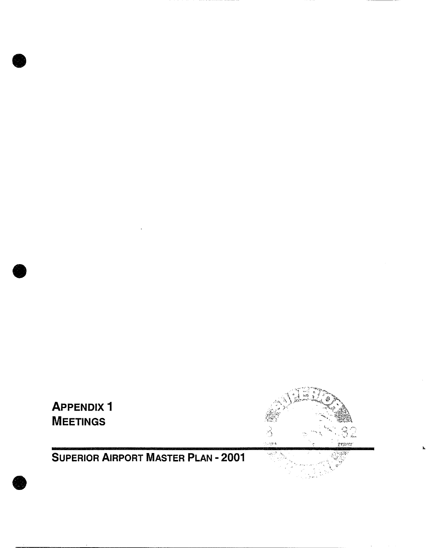

# $\frac{1}{2}$  $\frac{1}{\sqrt{2}}$ ়<br>১৩শুৰ .<br>Franci أتيله

# **SUPERIOR AIRPORT MASTER PLAN - 2001**



**0** 

**0**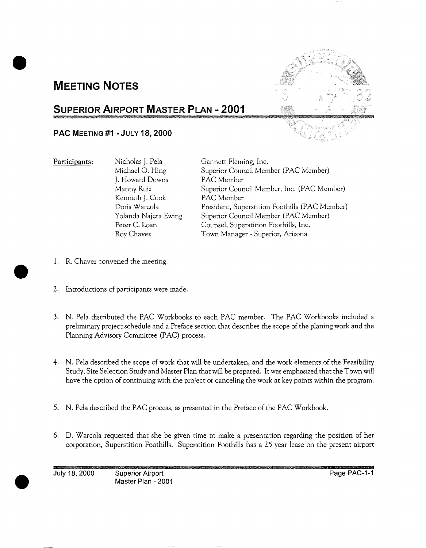## **MEETING NOTES**



## **SUPERIOR AIRPORT MASTER PLAN - 2001 - : :**

#### **PAC MEETING #1 - JULY 18, 2000**

Participants: Nicholas J. Pela Michael O. Hing J. Howard Downs Manny Ruiz Kenneth J. Cook Doris Warcola Yolanda Najera Ewing Peter C. Loan Roy Chavez

Gannett Fleming, Inc. Superior Council Member (PAC Member) PAC Member Superior Council Member, Inc. (PAC Member) PAC Member President, Superstition Foothills (PAC Member) Superior Council Member (PAC Member) Counsel, Superstition Foothills, Inc. Town Manager - Superior, Arizona

- 1. R. Chavez convened the meeting.
- 2. Introductions of participants were made.
- . N. Pela distributed the PAC Workbooks to each PAC member. The PAC Workbooks included a preliminary project schedule and a Preface section that describes the scope of the planing work and the Planning Advisory Committee (PAC) process.
- **.** N. Pela described the scope of work that will be undertaken, and the work elements of the Feasibility Study, Site Selection Study and Master Plan that will be prepared. It was emphasized that the Town will have the option of continuing with the project or canceling the work at key points within the program.
- 5. N. Pela described the PAC process, as presented in the Preface of the PAC Workbook.
- 6. D. Warcola requested that she be given time to make a presentation regarding the position of her corporation, Superstition Foothills. Superstition Foothills has a 25 year lease on the present airport

July 18, 2000 Superior Airport Page PAC-I-1 Master Plan - 2001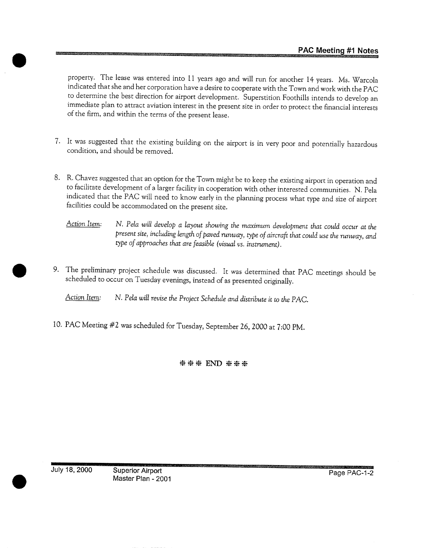property. The lease was entered into 11 years ago and will run for another 14 years. Ms. Warcola indicated that she and her corporation have a desire to cooperate with the Town and work with the PAC to determine the best direction for airport development. Superstition Foothills intends to develop an immediate plan to attract aviation interest in the present site in order to protect the financial interests of the firm, and within the terms of the present lease.

- 7. It was suggested that the existing building on the airport is in very poor and potentially hazardous condition, and should be removed.
- . R. Chavez suggested that an option for the Town might be to keep the existing airport in operation and to facilitate development of a larger facility in cooperation with other interested communities. N. Pela indicated that the PAC will need to know early in the planning process what type and size of airport facilities could be accommodated on the present site.
	- *Action Item: N. Pela will develop a layout showing the maximum development that could occur at the present site, including length of paved runway, type of aircraft that could use the runway, and type of approaches that are feasible (visual vs. instrument).*
- . The preliminary project schedule was discussed. It was determined that PAC meetings should be scheduled to occur on Tuesday evenings, instead of as presented originally.

*Action Item: N. Pela will revise the Project Schedule and distribute it to the PAC.* 

10. PAC Meeting #2 was scheduled for Tuesday, September 26, 2000 at 7:00 PM.

**米米米 END 米米米** 

July 18, 2000 Superior Airport

Master Plan - 2001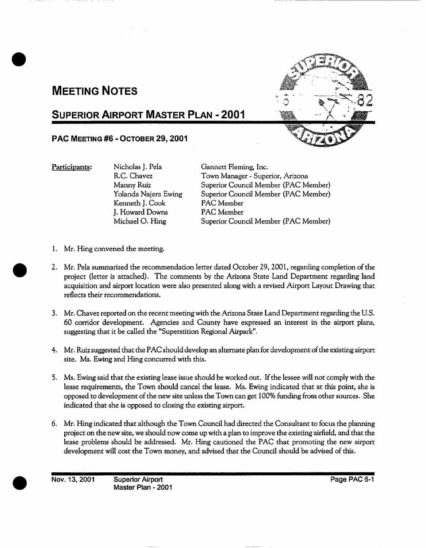## **MEETING NOTES**

## **SUPERIOR AIRPORT MASTER PLAN - 2001**

#### **PAC MEETING #6 - OCTOBER 29, 2001**

Participants: Nicholas J. Pela

R.C. Chavez Manny Ruiz Yolanda Najera Ewing Kenneth J. Cook J. Howard Downs Michael O. Hing

Gannett Fleming, **Inc.**  Town Manager - Superior, Arizona Superior Council Member (PAC Member) Superior Council Member (PAC Member) PAC Member PAC Member Superior Council Member (PAC Member)

- 1. Mr. Hing convened the meeting.
- . Mr. Pela summarized the recommendation letter dated October 29, 2001, regarding completion of the project (letter is attached). The comments by the Arizona State Land Department regarding land acquisition and airport location were also presented along with a revised Airport Layout Drawing that reflects their recommendations.
- . Mr. Chavez reported on the recent meeting with the Arizona State Land Department regarding the U.S. 60 corridor development. Agencies and County have expressed an interest in the airport plans, suggesting that it be called the "Superstition Regional Airpark".
- 4. Mr. Ruiz suggested that the PAC should develop an alternate plan for development of the existing airport site. Ms. Ewing and Hing concurred with this.
- . Ms. Ewing said that the existing lease issue should be worked out. If the lessee will not comply with the lease requirements, the Town should cancel the lease. Ms. Ewing indicated that at this point, she is opposed to development of the new site unless the Town can get 100% funding from other sources. She indicated that she is opposed to closing the existing airport.
- . Mr. Hing indicated that although the Town Council had directed the Consultant to focus the planning project on the new site, we should now come up with a plan to improve the existing airfield, and that the lease problems should be addressed. Mr. Hing cautioned the PAC that promoting the new airport development will cost the Town money, and advised that the Council should be advised of this.

**Nov. 13, 2001 •• Superior Airport Page PAC 6-1 <b>Page PAC 6-1** 

**Master Plan -** 2001



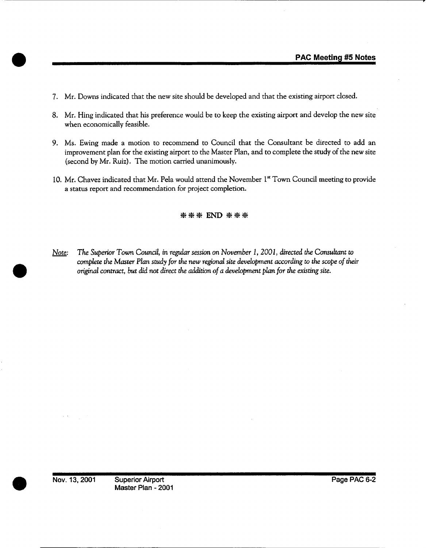- 7. Mr. Downs indicated that the new site should be developed and that the existing airport closed.
- 8. Mr. Hing indicated that his preference would be to keep the existing airport and develop the new site when economically feasible.
- 9. Ms. Ewing made a motion to recommend to Council that the Consultant be directed to add an improvement plan for the existing airport to the Master Plan, and to complete the study of the new site (second by Mr. Ruiz). The motion carried unanimously.
- 10. Mr. Chavez indicated that Mr. Pela would attend the November 1<sup>st</sup> Town Council meeting to provide a status report and recommendation for project completion.

*~, END ~,~* 

*Note: The Superior Town Council, in regular session on November 1, 2001, directed the Consultant to complete the Master Plan study for the new regional site development according to the scope of their original contract, but did not direct the addition of a development plan for the existing site.*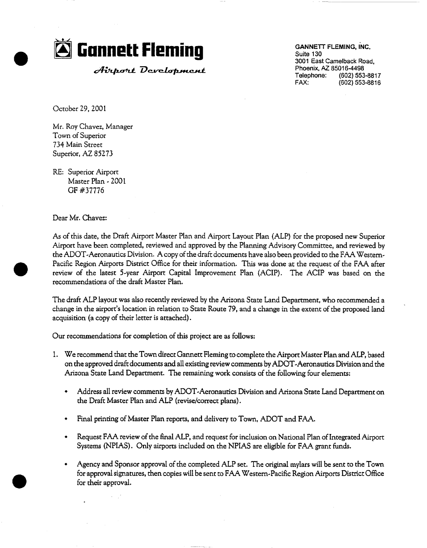

Airport Development

Suite 130 3001 East Camelback Road, **Phoenix, AZ 85016-4498**  Telephone: **(602) 553-8817**  FAX: (602) 553-8816

October 29,200t

Mr. Roy Chavez, Manager Town of Superior 734 Main Street Superior, AZ 85273

RE: Superior Airport Master Plan - 2001 GF #37776

Dear Mr. Chavez:

As of this date, the Draft Airport Master Plan and Airport Layout Plan (ALP) for the proposed new Superior Airport have been completed, reviewed and approved by the Planning Advisory Committee, and reviewed by the ADOT-Aeronautics Division. A copy of the draft documents have also been provided to the FAA Western-Pacific Region Airports District Office for their information. This was done at the request of the FAA after review of the latest 5-year Airport Capital Improvement Plan (ACIP). The ACIP was based on the recommendations of the draft Master Plan.

The draft ALP layout was also recently reviewed by the Arizona State Land Department, who recommended a change in the airport's location in relation to State Route 79, and a change in the extent of the proposed land acquisition (a copy of their letter is attached).

Our recommendations for completion of this project are as follows:

- . We recommend that the Town direct Gannett Fleming to complete the Airport Master Plan and ALP, based on the approved draft documents and all existing review comments by ADOT-Aeronautics Division and the Arizona State Land Department. The remaining work consists of the following four elements:
	- Address all review comments by ADOT-Aeronautics Division and Arizona State Land Department on the Draft Master Plan and ALP (revise/correct plans).
	- Final printing of Master Plan reports, and delivery to Town, ADOT and FAA.
	- Request FAA review of the final ALP, and request for inclusion on National Plan of Integrated Airport Systems (NPIAS). Only airports included on the NPIAS are eligible for FAA grant funds.
	- Agency and Sponsor approval of the completed ALP set. The original mylars will be sent to the Town  $\bullet$ for approval signatures, then copies will be sent to FAA Western-Pacific Region Airports District Office for their approval.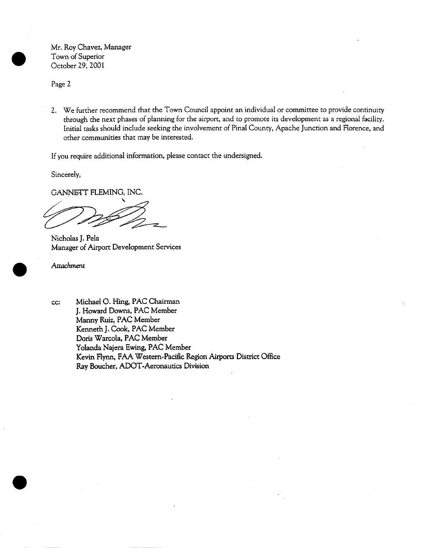Mr. Roy Chavez, Manager Town of Superior October 29, 200I

Page 2

. We further recommend that the Town Council appoint an individual or committee to provide continuity through the next phases of planning for the airport, and to promote its development as a regional facility. Initial tasks should include seeking the involvement of Pinal County, Apache Junction and Florence, and other communities that may be interested.

If you require additional information, please contact the undersigned.

Sincerely,

GANNETT FLEMING, INC.

Nicholas J. Pela Manager of Airport Development Services

Attachment

cc: Michael O. Hing, PAC Chairman J. Howard Downs, PAC Member Mann¥ Ruiz, PAC Member Kenneth J. Cook, PAC Member Doris Warcola, PAC Member Yolanda Najera Ewing, PAC Member Kevin Flyrm, FAA Western-Pacific Region Airports District Office Ray Boucher, ADOT-Aeronautics Division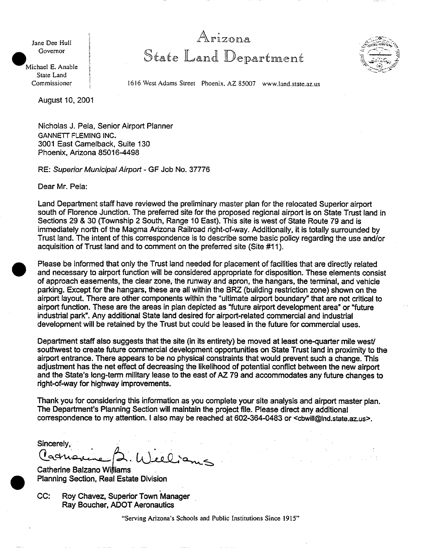Jane Dee Hull Governor

<sup>a</sup>l rizona State Land Department



Michael E. Anable State Land Commissioner

1616 West Adams Street Phoenix, AZ 85007 www.land.state.az.us

August 10, 2001

Nicholas J. Pela, Senior Airport Planner GANNETT FLEMING INC. 3001 East Camelback, Suite 130 Phoenix, Arizona 85016-4498

RE: *Superior Municipal Airport-* GF Job No. 37776

Dear Mr. Pela:

Land Department staff have reviewed the preliminary master plan for the relocated Superior airport south of Florence Junction. The preferred site for the proposed regional airport is on State Trust land in Sections 29 & 30 (Township 2 South, Range 10 East). This site is west of State Route 79 and is immediately north of the Magma Arizona Railroad right-of-way. Additionally, it is totally surrounded by Trust land. The intent of this correspondence is to describe some basic policy regarding the use and/or acquisition of Trust land and to comment on the preferred site (Site #11 ).

Please be informed that only the Trust land needed for placement of facilities that are directly related and necessary to airport function will be considered appropriate for disposition. These elements consist of approach easements, the clear zone, the runway and apron, the hangars, the terminal, and vehicle parking. Except for the hangars, these are all within the BRZ. (building restriction zone) shown on the airport layout. There are other components within the "ultimate airport boundary" that are not critical to airport function. These are the areas in plan depicted as "future airport development area" or "future industrial park". Any additional State land desired for airport-related commercial and industrial development will be retained by the Trust but could be leased in the future for commercial uses.

Department staff also suggests that the site (in its entirety) be moved at least one-quarter mile west/ southwest to create future commercial development opportunities on State Trust land in proximity to the airport entrance. There appears to be no physical constraints that would prevent such a change. This adjustment has the net effect of decreasing the likelihood of potential conflict between the new airport and the State's long-term military lease to the east of AZ 79 and accommodates any future changes to right-of-way for highway improvements.

Thank you for considering this information as you complete your site analysis and airport master plan. The Department's Planning Section will maintain the project file. Please direct any additional correspondence to my attention. I also may be reached at 602-364-0483 or *<cbwill@lnd.state.az.us>.* 

Sincerely, U)eel

Catherine Balzano Williams Planning Section, Real Estate Division

CC: Roy Chavez, Superior Town Manager Ray Boucher, ADOT Aeronautics

"Serving Arizona's Schools and Public Institutions Since 1915"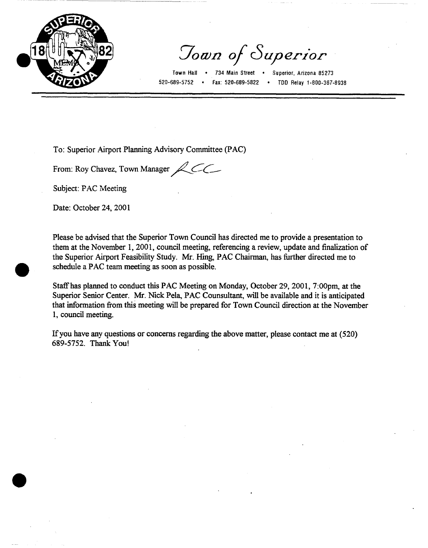

Town of Superior

Town Hall • 734 Main Street • Superior, Arizona 85273 520-689-5752 ° Fax: 520-689-5822 \* TDD Relay 1-800-367-8938

To: Superior Airport Planning Advisory Committee (PAC)

From: Roy Chavez, Town Manager $\mathcal{L}$ 

Subject: PAC Meeting

Date: October 24, 2001

Please be advised that the Superior Town Council has directed me to provide a presentation to them at the November 1,2001, council meeting, referencing a review, update and finalization of the Superior Airport Feasibility Study. Mr. Hing, PAC Chairman, has further directed me to schedule a PAC team meeting as soon as possible.

Staff'has planned to conduct this PAC Meeting on Monday, October 29, 2001, 7:00pm, at the Superior Senior Center. Mr. Nick Pela, PAC Counsultant, will be available and it is anticipated that information from this meeting will be prepared for Town Council direction at the November 1, council meeting.

If you have any questions or concerns regarding the above matter, please contact me at (520) 689-5752. Thank You!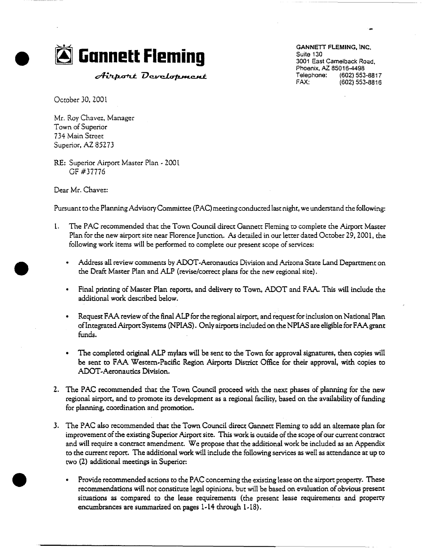

*Airport Development* 

Suite 130 3001 East Camelback Road. Phoenix, AZ 85016-4498 Telephone: (602) 553-8817<br>FAX: (602) 553-8816 FAX: (602) 553-8816

October 30, 2001

Mr. Roy Chavez, Manager Town of Superior 734 Main Street Superior, AZ 85273

RE: Superior Airport Master Plan **-** 200t GF #37776

Dear Mr. Chavez:

Pursuant to the Planning Advisory Committee (PAC) meeting conducted last night, we understand the following:

- 1. The PAC recommended that the Town Council direct Gannett Fleming to complete the Airport Master Plan for the new airport site near Florence Junction. As detailed in our letter dated October 29,2001, the following work items will be performed to complete our present scope of services:
	- Address all review comments by ADOT-Aeronaudcs Division and Arizona State Land Department on the Draft Master Plan and ALP (revise/correct plans for the new regional site).
	- Final printing of Master Plan reports, and delivery to Town, ADOT and FAA. This will include the additional work described below.
	- Request FAA review of the final ALP for the regional airport, and request for inclusion on National Plan of Integrated Airport Systems (NPIAS). Only airports included on the NPIAS are eligible for FAA grant funds.
	- The completed original ALP mylars will be sent to the Town for approval signatures, then copies will be sent to FAA Western-Pacific Region Airports District Office for their approval, with copies to ADOT.Aeronautics Division.
- . The PAC recommended that the Town Council proceed with the next phases of planning for the new regional airport, and to promote its development as a regional facility, based on the availability of funding for planning, coordination and promotion.
- . The PAC also recommended that the Town Council direct Gannett Fleming to add an alternate plan for improvement of the existing Superior Airport site. This work is outside of the scope of our current contract and will require a contract amendment. We propose that the additional work be included as an Appendix to the current report. The additional work will include the following services as well as attendance at up to two (2) additional meetings in Superior:
	- $\bullet$ Provide recommended actions to the PAC concerning the existing lease on the airport property. These recommendations will not constitute legal opinions, but will be based on evaluation of obvious present situations as compared to the [ease requirements (the present lease requirements and property encumbrances are summarized on pages 1-14 through 1-18).